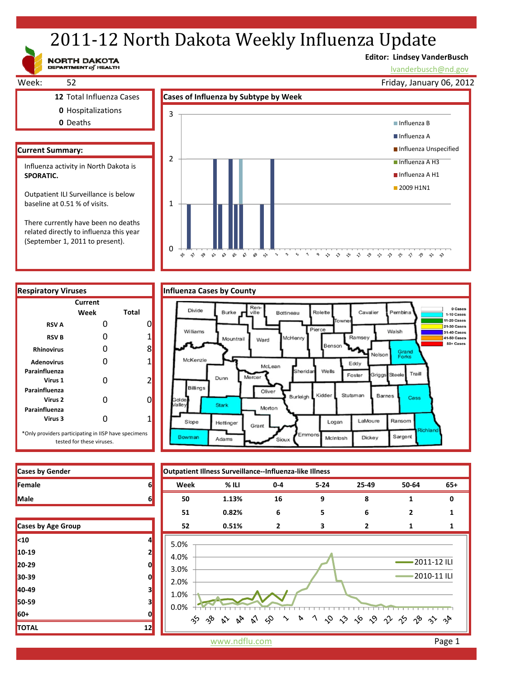# 2011-12 North Dakota Weekly Influenza Update

NORTH DAKOTA

# **Editor: Lindsey VanderBusch**

\* \* \* \* \* \* \* \* \* \*

lvanderbusch@nd.gov

Week: 52 **12** Total Influenza Cases **Cases of Influenza by Subtype by Week 0** Hospitalizations **0** Deaths **Current Summary:** Friday, January 06, 2012 1 2 3 Influenza B ■ Influenza A **Influenza Unspecified** Influenza A H3 Influenza A H1 **2009 H1N1** Influenza activity in North Dakota is **SPORATIC.**  Outpatient ILI Surveillance is below baseline at 0.51 % of visits. There currently have been no deaths

related directly to influenza this year (September 1, 2011 to present).

**Current**

**Week Total RSV A** 0 0 0 **RSV B** 0 1 **Rhinovirus** 0 8 0

÷,

 $\hat{\gamma}$ Ą9  $\hat{\mathbf{w}}$  $\mathbf{v}^2$ ళ  $\hat{\mathbf{x}}$  $\mathcal{S}$  $\hat{\mathbf{v}}$  $\ddot{\phantom{1}}$ 



 $\gamma$  $\varsigma_2$  $\Delta$  $\circ$  $\rightsquigarrow$   $\rightsquigarrow$ 





| <b>Cases by Gender</b> |  |
|------------------------|--|
| <b>Female</b>          |  |
| <b>Male</b>            |  |

| Cases by Age Group |    |
|--------------------|----|
| $10$               | 4  |
| 10-19              | 2  |
| 20-29              | 0  |
| 30-39              | 0  |
| 40-49              | 3  |
| 50-59              | 3  |
| 60+                | 0  |
| <b>TOTAL</b>       | 12 |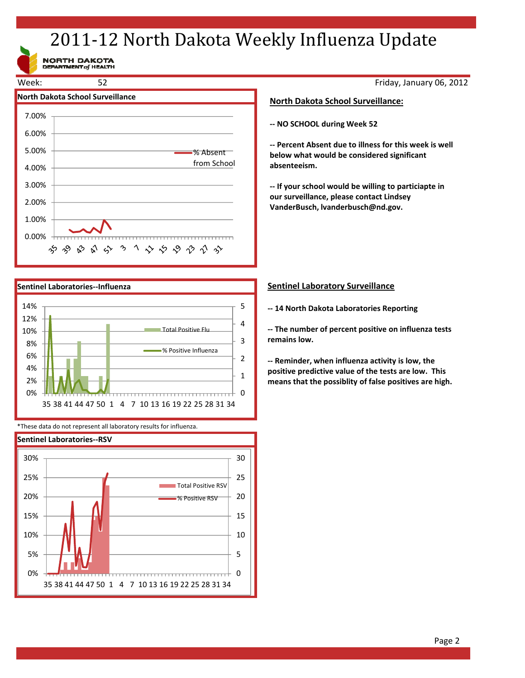# 2011-12 North Dakota Weekly Influenza Update

NORTH DAKOTA<br>DEPARTMENT of HEALTH





\*These data do not represent all laboratory results for influenza.



Friday, January 06, 2012

## **North Dakota School Surveillance:**

**‐‐ NO SCHOOL during Week 52**

**‐‐ Percent Absent due to illness for this week is well below what would be considered significant absenteeism.**

**‐‐ If your school would be willing to particiapte in our surveillance, please contact Lindsey VanderBusch, lvanderbusch@nd.gov.**

## **Sentinel Laboratory Surveillance**

**‐‐ 14 North Dakota Laboratories Reporting**

**‐‐ The number of percent positive on influenza tests remains low.**

**‐‐ Reminder, when influenza activity is low, the positive predictive value of the tests are low. This means that the possiblity of false positives are high.**